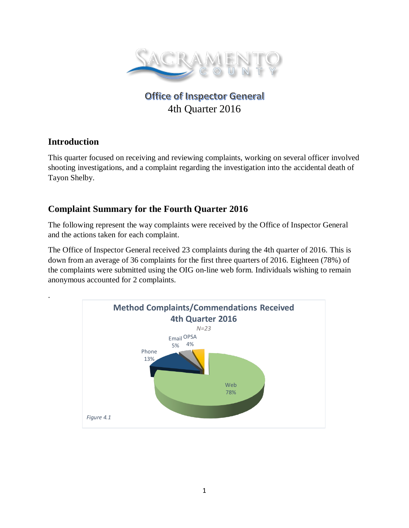

# **Office of Inspector General** 4th Quarter 2016

## **Introduction**

.

This quarter focused on receiving and reviewing complaints, working on several officer involved shooting investigations, and a complaint regarding the investigation into the accidental death of Tayon Shelby.

# **Complaint Summary for the Fourth Quarter 2016**

The following represent the way complaints were received by the Office of Inspector General and the actions taken for each complaint.

The Office of Inspector General received 23 complaints during the 4th quarter of 2016. This is down from an average of 36 complaints for the first three quarters of 2016. Eighteen (78%) of the complaints were submitted using the OIG on-line web form. Individuals wishing to remain anonymous accounted for 2 complaints.

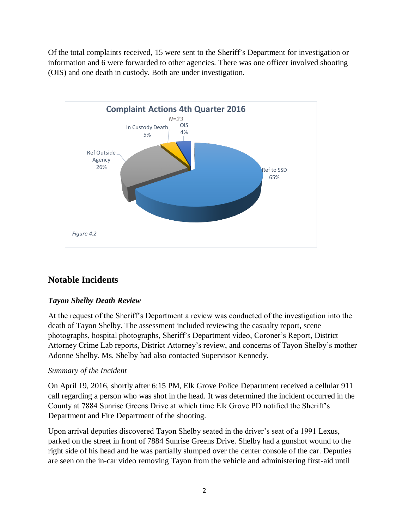Of the total complaints received, 15 were sent to the Sheriff's Department for investigation or information and 6 were forwarded to other agencies. There was one officer involved shooting (OIS) and one death in custody. Both are under investigation.



# **Notable Incidents**

#### *Tayon Shelby Death Review*

At the request of the Sheriff's Department a review was conducted of the investigation into the death of Tayon Shelby. The assessment included reviewing the casualty report, scene photographs, hospital photographs, Sheriff's Department video, Coroner's Report, District Attorney Crime Lab reports, District Attorney's review, and concerns of Tayon Shelby's mother Adonne Shelby. Ms. Shelby had also contacted Supervisor Kennedy.

#### *Summary of the Incident*

On April 19, 2016, shortly after 6:15 PM, Elk Grove Police Department received a cellular 911 call regarding a person who was shot in the head. It was determined the incident occurred in the County at 7884 Sunrise Greens Drive at which time Elk Grove PD notified the Sheriff's Department and Fire Department of the shooting.

Upon arrival deputies discovered Tayon Shelby seated in the driver's seat of a 1991 Lexus, parked on the street in front of 7884 Sunrise Greens Drive. Shelby had a gunshot wound to the right side of his head and he was partially slumped over the center console of the car. Deputies are seen on the in-car video removing Tayon from the vehicle and administering first-aid until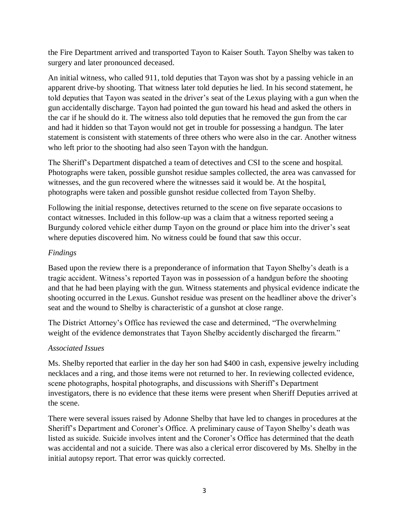the Fire Department arrived and transported Tayon to Kaiser South. Tayon Shelby was taken to surgery and later pronounced deceased.

An initial witness, who called 911, told deputies that Tayon was shot by a passing vehicle in an apparent drive-by shooting. That witness later told deputies he lied. In his second statement, he told deputies that Tayon was seated in the driver's seat of the Lexus playing with a gun when the gun accidentally discharge. Tayon had pointed the gun toward his head and asked the others in the car if he should do it. The witness also told deputies that he removed the gun from the car and had it hidden so that Tayon would not get in trouble for possessing a handgun. The later statement is consistent with statements of three others who were also in the car. Another witness who left prior to the shooting had also seen Tayon with the handgun.

The Sheriff's Department dispatched a team of detectives and CSI to the scene and hospital. Photographs were taken, possible gunshot residue samples collected, the area was canvassed for witnesses, and the gun recovered where the witnesses said it would be. At the hospital, photographs were taken and possible gunshot residue collected from Tayon Shelby.

Following the initial response, detectives returned to the scene on five separate occasions to contact witnesses. Included in this follow-up was a claim that a witness reported seeing a Burgundy colored vehicle either dump Tayon on the ground or place him into the driver's seat where deputies discovered him. No witness could be found that saw this occur.

#### *Findings*

Based upon the review there is a preponderance of information that Tayon Shelby's death is a tragic accident. Witness's reported Tayon was in possession of a handgun before the shooting and that he had been playing with the gun. Witness statements and physical evidence indicate the shooting occurred in the Lexus. Gunshot residue was present on the headliner above the driver's seat and the wound to Shelby is characteristic of a gunshot at close range.

The District Attorney's Office has reviewed the case and determined, "The overwhelming weight of the evidence demonstrates that Tayon Shelby accidently discharged the firearm."

#### *Associated Issues*

Ms. Shelby reported that earlier in the day her son had \$400 in cash, expensive jewelry including necklaces and a ring, and those items were not returned to her. In reviewing collected evidence, scene photographs, hospital photographs, and discussions with Sheriff's Department investigators, there is no evidence that these items were present when Sheriff Deputies arrived at the scene.

There were several issues raised by Adonne Shelby that have led to changes in procedures at the Sheriff's Department and Coroner's Office. A preliminary cause of Tayon Shelby's death was listed as suicide. Suicide involves intent and the Coroner's Office has determined that the death was accidental and not a suicide. There was also a clerical error discovered by Ms. Shelby in the initial autopsy report. That error was quickly corrected.